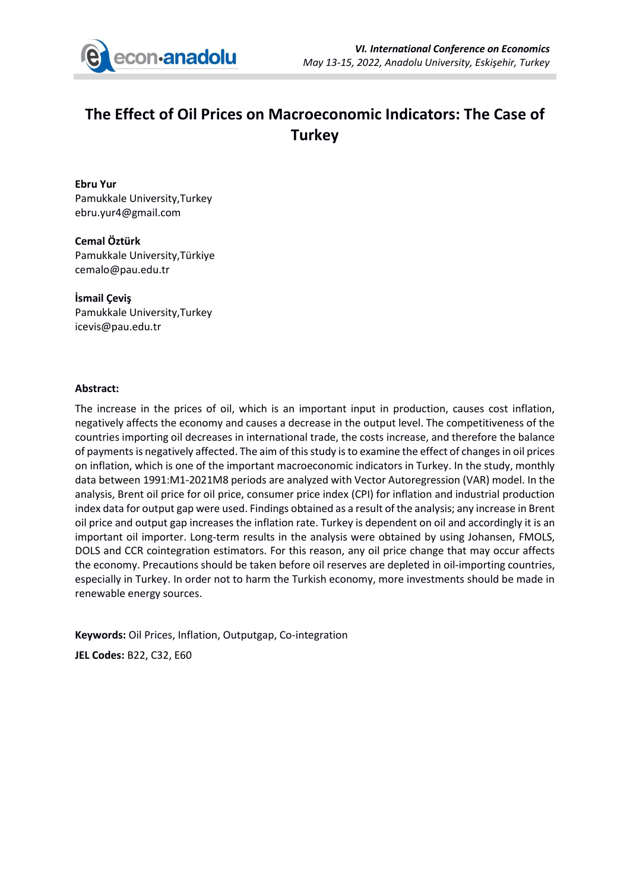

## **The Effect of Oil Prices on Macroeconomic Indicators: The Case of Turkey**

**Ebru Yur** Pamukkale University,Turkey ebru.yur4@gmail.com

**Cemal Öztürk** Pamukkale University,Türkiye cemalo@pau.edu.tr

**İsmail Çeviş** Pamukkale University,Turkey icevis@pau.edu.tr

## **Abstract:**

The increase in the prices of oil, which is an important input in production, causes cost inflation, negatively affects the economy and causes a decrease in the output level. The competitiveness of the countries importing oil decreases in international trade, the costs increase, and therefore the balance of payments is negatively affected. The aim of this study is to examine the effect of changes in oil prices on inflation, which is one of the important macroeconomic indicators in Turkey. In the study, monthly data between 1991:M1-2021M8 periods are analyzed with Vector Autoregression (VAR) model. In the analysis, Brent oil price for oil price, consumer price index (CPI) for inflation and industrial production index data for output gap were used. Findings obtained as a result of the analysis; any increase in Brent oil price and output gap increases the inflation rate. Turkey is dependent on oil and accordingly it is an important oil importer. Long-term results in the analysis were obtained by using Johansen, FMOLS, DOLS and CCR cointegration estimators. For this reason, any oil price change that may occur affects the economy. Precautions should be taken before oil reserves are depleted in oil-importing countries, especially in Turkey. In order not to harm the Turkish economy, more investments should be made in renewable energy sources.

**Keywords:** Oil Prices, Inflation, Outputgap, Co-integration **JEL Codes:** B22, C32, E60